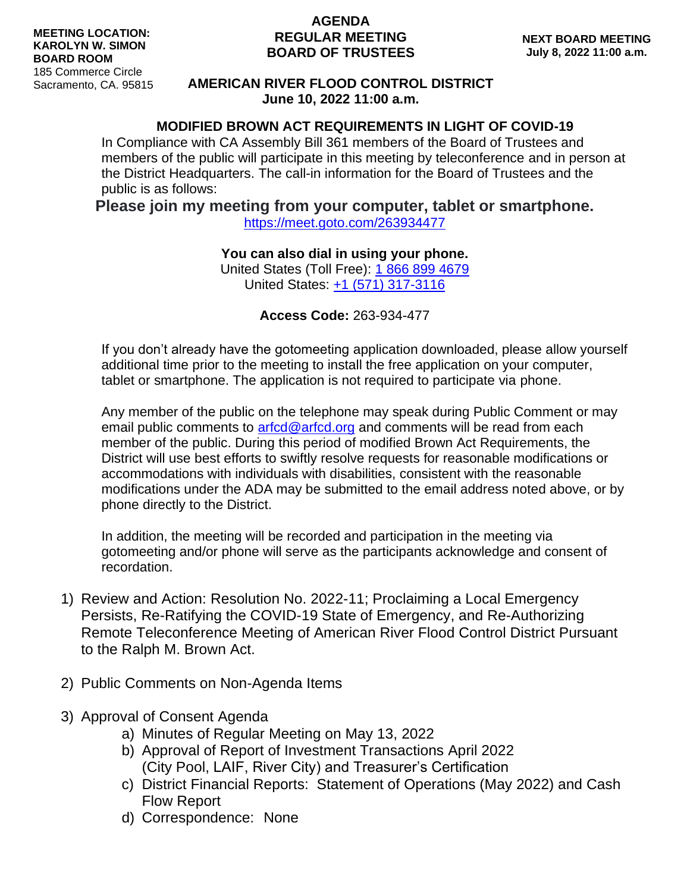## **AGENDA REGULAR MEETING BOARD OF TRUSTEES**

## **AMERICAN RIVER FLOOD CONTROL DISTRICT June 10, 2022 11:00 a.m.**

## **MODIFIED BROWN ACT REQUIREMENTS IN LIGHT OF COVID-19**

In Compliance with CA Assembly Bill 361 members of the Board of Trustees and members of the public will participate in this meeting by teleconference and in person at the District Headquarters. The call-in information for the Board of Trustees and the public is as follows:

## **Please join my meeting from your computer, tablet or smartphone.**

<https://meet.goto.com/263934477>

**You can also dial in using your phone.**

United States (Toll Free): [1 866 899 4679](tel:+18668994679,,263934477) United States: [+1 \(571\) 317-3116](tel:+15713173116,,263934477)

**Access Code:** 263-934-477

If you don't already have the gotomeeting application downloaded, please allow yourself additional time prior to the meeting to install the free application on your computer, tablet or smartphone. The application is not required to participate via phone.

Any member of the public on the telephone may speak during Public Comment or may email public comments to [arfcd@arfcd.org](mailto:arfcd@arfcd.org) and comments will be read from each member of the public. During this period of modified Brown Act Requirements, the District will use best efforts to swiftly resolve requests for reasonable modifications or accommodations with individuals with disabilities, consistent with the reasonable modifications under the ADA may be submitted to the email address noted above, or by phone directly to the District.

In addition, the meeting will be recorded and participation in the meeting via gotomeeting and/or phone will serve as the participants acknowledge and consent of recordation.

- 1) Review and Action: Resolution No. 2022-11; Proclaiming a Local Emergency Persists, Re-Ratifying the COVID-19 State of Emergency, and Re-Authorizing Remote Teleconference Meeting of American River Flood Control District Pursuant to the Ralph M. Brown Act.
- 2) Public Comments on Non-Agenda Items
- 3) Approval of Consent Agenda
	- a) Minutes of Regular Meeting on May 13, 2022
	- b) Approval of Report of Investment Transactions April 2022 (City Pool, LAIF, River City) and Treasurer's Certification
	- c) District Financial Reports: Statement of Operations (May 2022) and Cash Flow Report
	- d) Correspondence: None